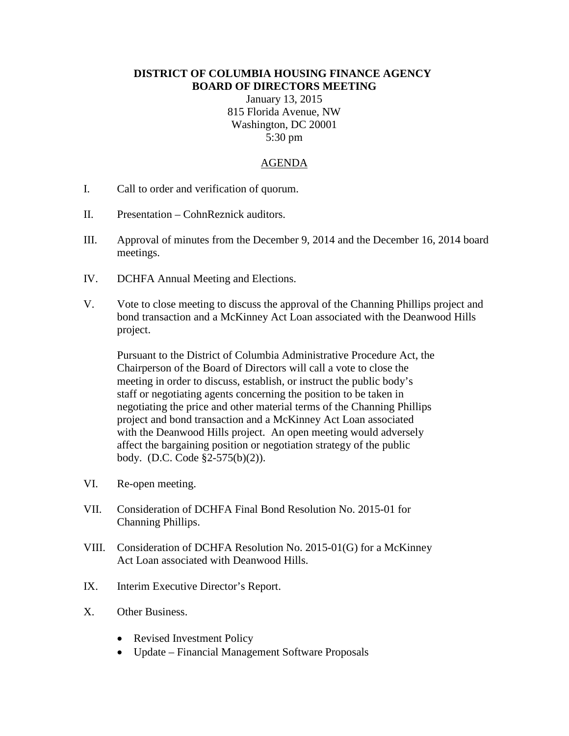## **DISTRICT OF COLUMBIA HOUSING FINANCE AGENCY BOARD OF DIRECTORS MEETING**

January 13, 2015 815 Florida Avenue, NW Washington, DC 20001 5:30 pm

## AGENDA

- I. Call to order and verification of quorum.
- II. Presentation CohnReznick auditors.
- III. Approval of minutes from the December 9, 2014 and the December 16, 2014 board meetings.
- IV. DCHFA Annual Meeting and Elections.
- V. Vote to close meeting to discuss the approval of the Channing Phillips project and bond transaction and a McKinney Act Loan associated with the Deanwood Hills project.

Pursuant to the District of Columbia Administrative Procedure Act, the Chairperson of the Board of Directors will call a vote to close the meeting in order to discuss, establish, or instruct the public body's staff or negotiating agents concerning the position to be taken in negotiating the price and other material terms of the Channing Phillips project and bond transaction and a McKinney Act Loan associated with the Deanwood Hills project. An open meeting would adversely affect the bargaining position or negotiation strategy of the public body. (D.C. Code §2-575(b)(2)).

- VI. Re-open meeting.
- VII. Consideration of DCHFA Final Bond Resolution No. 2015-01 for Channing Phillips.
- VIII. Consideration of DCHFA Resolution No. 2015-01(G) for a McKinney Act Loan associated with Deanwood Hills.
- IX. Interim Executive Director's Report.
- X. Other Business.
	- Revised Investment Policy
	- Update Financial Management Software Proposals